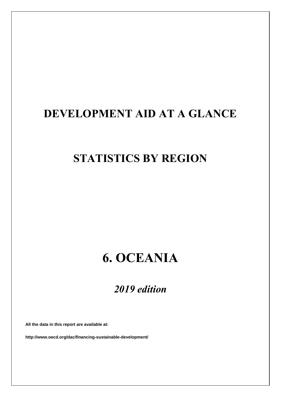# **DEVELOPMENT AID AT A GLANCE**

## **STATISTICS BY REGION**

# **6. OCEANIA**

*2019 edition*

**All the data in this report are available at:**

**http://www.oecd.org/dac/financing-sustainable-development/**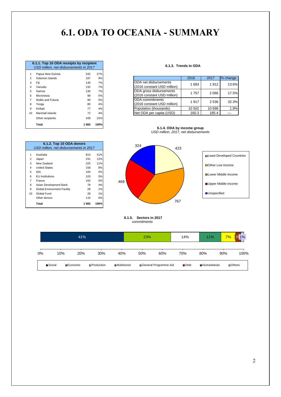### **6.1. ODA TO OCEANIA - SUMMARY**

|                | 6.1.1. Top 10 ODA receipts by recipient<br>USD million, net disbursements in 2017 |      |      |  |  |  |  |  |  |  |  |  |
|----------------|-----------------------------------------------------------------------------------|------|------|--|--|--|--|--|--|--|--|--|
| 1              | Papua New Guinea                                                                  | 532  | 27%  |  |  |  |  |  |  |  |  |  |
| $\overline{2}$ | Solomon Islands                                                                   | 187  | 9%   |  |  |  |  |  |  |  |  |  |
| 3              | Fiji                                                                              | 146  | 7%   |  |  |  |  |  |  |  |  |  |
| 4              | Vanuatu                                                                           | 132  | 7%   |  |  |  |  |  |  |  |  |  |
| 5              | Samoa                                                                             | 130  | 7%   |  |  |  |  |  |  |  |  |  |
| 6              | Micronesia                                                                        | 98   | 5%   |  |  |  |  |  |  |  |  |  |
| $\overline{7}$ | Wallis and Futuna                                                                 | 90   | 5%   |  |  |  |  |  |  |  |  |  |
| 8              | Tonga                                                                             | 80   | 4%   |  |  |  |  |  |  |  |  |  |
| 9              | Kiribati                                                                          | 77   | 4%   |  |  |  |  |  |  |  |  |  |
| 10             | Marshall Islands                                                                  | 72   | 4%   |  |  |  |  |  |  |  |  |  |
|                | Other recipients                                                                  | 439  | 22%  |  |  |  |  |  |  |  |  |  |
|                | <b>Total</b>                                                                      | 1983 | 100% |  |  |  |  |  |  |  |  |  |

|                | 6.1.2. Top 10 ODA donors<br>USD million, net disbursements in 2017 |       |      |  |  |  |  |  |  |  |  |  |  |
|----------------|--------------------------------------------------------------------|-------|------|--|--|--|--|--|--|--|--|--|--|
| 1              | Australia                                                          | 814   | 41%  |  |  |  |  |  |  |  |  |  |  |
| $\overline{2}$ | Japan                                                              | 231   | 12%  |  |  |  |  |  |  |  |  |  |  |
| 3              | New Zealand                                                        | 225   | 11%  |  |  |  |  |  |  |  |  |  |  |
| 4              | <b>United States</b>                                               | 158   | 8%   |  |  |  |  |  |  |  |  |  |  |
| 5              | IDA                                                                | 105   | 5%   |  |  |  |  |  |  |  |  |  |  |
| 6              | <b>EU</b> Institutions                                             | 103   | 5%   |  |  |  |  |  |  |  |  |  |  |
| 7              | France                                                             | 102   | 5%   |  |  |  |  |  |  |  |  |  |  |
| 8              | Asian Development Bank                                             | 78    | 4%   |  |  |  |  |  |  |  |  |  |  |
| 9              | <b>Global Environment Facility</b>                                 | 29    | 1%   |  |  |  |  |  |  |  |  |  |  |
| 10             | Global Fund                                                        | 28    | 1%   |  |  |  |  |  |  |  |  |  |  |
|                | Other donors                                                       | 110   | 6%   |  |  |  |  |  |  |  |  |  |  |
|                | Total                                                              | 1 983 | 100% |  |  |  |  |  |  |  |  |  |  |

#### **6.1.3. Trends in ODA**

| ้อง∠ | 21%                                                                          |                               |        |                      |                         |
|------|------------------------------------------------------------------------------|-------------------------------|--------|----------------------|-------------------------|
| 187  | 9%                                                                           |                               | 2016   | 2017                 | % change                |
| 146  | 7%                                                                           | <b>IODA</b> net disbursements |        |                      |                         |
| 132  |                                                                              | (2016 constant USD million)   |        |                      |                         |
| 130  |                                                                              | ODA gross disbursements       |        |                      |                         |
| 98   | 5%                                                                           | (2016 constant USD million)   |        |                      |                         |
| 90   | 5%                                                                           | <b>ODA</b> commitments        |        |                      |                         |
| 80   | 4%                                                                           | (2016 constant USD million)   |        |                      |                         |
| 77   | 4%                                                                           | Population (thousands)        | 10 502 | 10 698               |                         |
| 72   | 4%                                                                           | Net ODA per capita (USD)      | 160.3  | 185.4                |                         |
|      | Papua New Guinea<br>Solomon Islands<br>Wallis and Futuna<br>Marshall Islands | 7%<br>7%                      |        | 1683<br>1757<br>1917 | 1912<br>2066<br>2 5 3 6 |

**6.1.4. ODA by income group** *USD million, 2017, net disbursements*



 **6.1.5. Sectors in 2017**  *commitments*

|    |         | 41%               |             |                      | 23% |                         | 14%                 | 11%                 | 7%  | 1%                    |      |
|----|---------|-------------------|-------------|----------------------|-----|-------------------------|---------------------|---------------------|-----|-----------------------|------|
| 0% | 10%     | 20%               |             | 30%<br>40%           |     | 50%                     | 60%                 | 70%                 | 80% | 90%                   | 100% |
|    | ■Social | <b>□</b> Economic | □Production | <b>□</b> Multisector |     | □ General Programme Aid | $\blacksquare$ Debt | <b>Humanitarian</b> |     | $\blacksquare$ Others |      |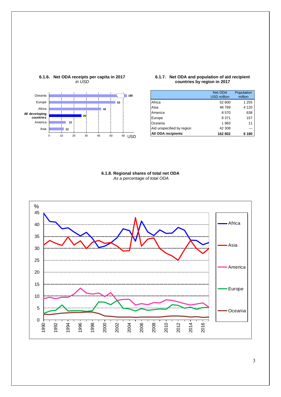

#### **6.1.6. Net ODA receipts per capita in 2017** *in USD*

#### **6.1.7. Net ODA and population of aid recipient countries by region in 2017**

|                           | Net ODA            | Population |
|---------------------------|--------------------|------------|
|                           | <b>USD million</b> | million    |
| Africa                    | 52 800             | 1 255      |
| Asia                      | 48769              | 4 1 2 0    |
| America                   | 8570               | 638        |
| Europe                    | 8 3 7 1            | 157        |
| Oceania                   | 1 983              | 11         |
| Aid unspecified by region | 42 308             |            |
| All ODA recipients        | 162 802            | 6 180      |

#### **6.1.8. Regional shares of total net ODA** *As a percentage of total ODA*

<span id="page-2-0"></span>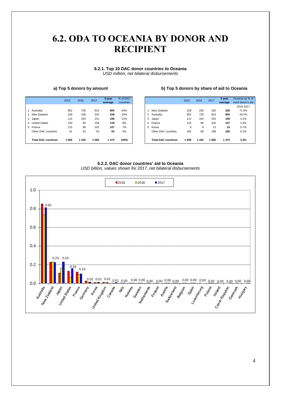### **6.2. ODA [TO](#page-2-0) OCEANIA BY DONOR AND RECIPIENT**

**6.2.1. Top 10 DAC donor countries to Oceania** *USD million, net bilateral disbursements*

#### **a) Top 5 donors by amount b) Top 5 donors by share of aid to Oceania**

|                            | 2015 | 2016    | 2017 | $3$ -year<br>average | % of DAC<br>countries |                |                            | 2015 | 2016    | 2017 | $3$ -year<br>average | Oceania as<br>each donor |
|----------------------------|------|---------|------|----------------------|-----------------------|----------------|----------------------------|------|---------|------|----------------------|--------------------------|
|                            |      |         |      |                      |                       |                |                            |      |         |      |                      | 2015-201                 |
| Australia                  | 852  | 735     | 814  | 800                  | 54%                   |                | New Zealand                | 228  | 230     | 225  | 228                  |                          |
| 2 New Zealand              | 228  | 230     | 225  | 228                  | 15%                   | $\overline{2}$ | Australia                  | 852  | 735     | 814  | 800                  |                          |
| 3 Japan                    | 112  | 163     | 231  | 168                  | 11%                   | 3              | Japan                      | 112  | 163     | 231  | 168                  |                          |
| 4 United States            | 130  | 66      | 158  | 118                  | 8%                    | 4              | France                     | 123  | 96      | 102  | 107                  |                          |
| 5 France                   | 123  | 96      | 102  | 107                  | 7%                    | 5              | Korea                      | 9    | 9       | 12   | 10                   |                          |
| Other DAC countries        | 61   | 42      | 53   | 52                   | 4%                    |                | Other DAC countries        | 182  | 99      | 198  | 160                  |                          |
| <b>Total DAC countries</b> | 506  | 1 3 3 2 | 582  | 1473                 | 100%                  |                | <b>Total DAC countries</b> | 1506 | 1 3 3 2 | 582  | 1473                 |                          |

|                            | 2015 | 2016 | 2017 | 3-year<br>average | % of DAC<br>countries |   |                            | 2015 | 2016 | 2017 | 3-year<br>average | Oceania as % of<br>each donor's aid |
|----------------------------|------|------|------|-------------------|-----------------------|---|----------------------------|------|------|------|-------------------|-------------------------------------|
|                            |      |      |      |                   |                       |   |                            |      |      |      |                   | 2015-2017                           |
| Australia                  | 852  | 735  | 814  | 800               | 54%                   |   | New Zealand                | 228  | 230  | 225  | 228               | 71.5%                               |
| New Zealand                | 228  | 230  | 225  | 228               | 15%                   |   | Australia                  | 852  | 735  | 814  | 800               | 44.2%                               |
| Japan                      | 112  | 163  | 231  | 168               | 11%                   | 3 | Japan                      | 112  | 163  | 231  | 168               | 3.1%                                |
| <b>United States</b>       | 130  | 66   | 158  | 118               | 8%                    | 4 | France                     | 123  | 96   | 102  | 107               | 2.4%                                |
| France                     | 123  | 96   | 102  | 107               | 7%                    | 5 | Korea                      | 9    | 9    | 12   | 10                | 0.7%                                |
| Other DAC countries        | 61   | 42   | 53   | 52                | 4%                    |   | Other DAC countries        | 182  | 99   | 198  | 160               | 0.1%                                |
| <b>Total DAC countries</b> | 1506 | 1332 | 582  | 1473              | 100%                  |   | <b>Total DAC countries</b> | 1506 | 1332 | 582  | 1473              | 2.2%                                |

#### **6.2.2. DAC donor countries' aid to Oceania**

*USD billion, values shown for 2017, net bilateral disbursements*

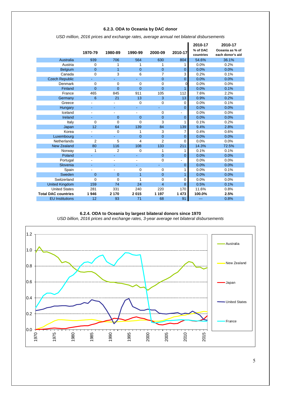#### **6.2.3. ODA to Oceania by DAC donor**

|                            |                          |                |                |                |                | 2010-17               | 2010-17                             |
|----------------------------|--------------------------|----------------|----------------|----------------|----------------|-----------------------|-------------------------------------|
|                            | 1970-79                  | 1980-89        | 1990-99        | 2000-09        | 2010-17        | % of DAC<br>countries | Oceania as % of<br>each donor's aid |
| Australia                  | 939                      | 706            | 564            | 630            | 804            | 54.6%                 | 36.1%                               |
| Austria                    | $\mathbf 0$              | 1              | 1              | 1              | 1              | 0.0%                  | 0.2%                                |
| <b>Belgium</b>             | $\overline{0}$           | $\overline{1}$ | $\overline{0}$ | $\overline{0}$ | $\overline{0}$ | 0.0%                  | 0.0%                                |
| Canada                     | $\mathbf 0$              | 3              | 6              | 7              | 3              | 0.2%                  | 0.1%                                |
| <b>Czech Republic</b>      |                          | Ξ              | u.             | $\overline{0}$ | $\overline{0}$ | 0.0%                  | 0.0%                                |
| Denmark                    | $\mathbf 0$              | $\mathbf 0$    | $\mathbf 0$    | $\mathbf 0$    | $\Omega$       | 0.0%                  | 0.0%                                |
| Finland                    | $\mathbf 0$              | $\mathbf 0$    | $\overline{0}$ | $\mathbf 0$    | $\overline{1}$ | 0.0%                  | 0.1%                                |
| France                     | 465                      | 845            | 911            | 105            | 112            | 7.6%                  | 2.2%                                |
| Germany                    | 6                        | 21             | 13             | 3              | 13             | 0.9%                  | 0.2%                                |
| Greece                     |                          |                | 0              | 0              | $\mathbf 0$    | 0.0%                  | 0.1%                                |
| Hungary                    |                          |                |                | ÷              | $\overline{0}$ | 0.0%                  | 0.0%                                |
| Iceland                    | $\overline{\phantom{a}}$ | L,             |                | $\mathbf 0$    |                | 0.0%                  | 0.0%                                |
| Ireland                    |                          | $\overline{0}$ | $\overline{0}$ | $\overline{0}$ | $\overline{0}$ | 0.0%                  | 0.0%                                |
| Italy                      | $\mathbf 0$              | $\mathbf 0$    | 0              | 3              | 1              | 0.1%                  | 0.2%                                |
| Japan                      | 12                       | 64             | 139            | 84             | 139            | 9.4%                  | 2.8%                                |
| Korea                      | $\blacksquare$           | $\Omega$       | 1              | 3              | 7              | 0.4%                  | 0.6%                                |
| Luxembourg                 |                          |                | $\overline{0}$ | $\overline{0}$ | $\overline{0}$ | 0.0%                  | 0.0%                                |
| Netherlands                | $\overline{2}$           | 5              | 4              | $\overline{2}$ | 0              | 0.0%                  | 0.0%                                |
| <b>New Zealand</b>         | 80                       | 116            | 108            | 133            | 211            | 14.3%                 | 72.5%                               |
| Norway                     | 1                        | $\overline{2}$ | 0              | 1              | 1              | 0.1%                  | 0.1%                                |
| Poland                     | $\blacksquare$           | Ξ              | ٠              | $\overline{0}$ | $\mathbf{0}$   | 0.0%                  | 0.0%                                |
| Portugal                   |                          | ٠              |                | 0              |                | 0.0%                  | 0.0%                                |
| Slovenia                   |                          | ٠              |                |                | $\mathbf 0$    | 0.0%                  | 0.0%                                |
| Spain                      |                          | $\blacksquare$ | 0              | $\mathbf 0$    | 1              | 0.0%                  | 0.1%                                |
| Sweden                     | $\overline{0}$           | $\overline{0}$ | 1              | $\overline{0}$ | 1              | 0.0%                  | 0.0%                                |
| Switzerland                | $\mathbf 0$              | $\Omega$       | 1              | 0              | 0              | 0.0%                  | 0.0%                                |
| <b>United Kingdom</b>      | 159                      | 74             | 24             | $\overline{4}$ | 8              | 0.5%                  | 0.1%                                |
| <b>United States</b>       | 281                      | 331            | 240            | 220            | 170            | 11.6%                 | 0.8%                                |
| <b>Total DAC countries</b> | 1946                     | 2 1 7 0        | 2015           | 1 1 9 7        | 1473           | 100.0%                | 2.5%                                |
| <b>EU</b> Institutions     | 12                       | 93             | 71             | 68             | 91             | ---                   | 0.8%                                |

*USD million, 2016 prices and exchange rates, average annual net bilateral disbursements*

### **6.2.4. ODA to Oceania by largest bilateral donors since 1970**

*USD billion, 2016 prices and exchange rates, 3-year average net bilateral disbursements*

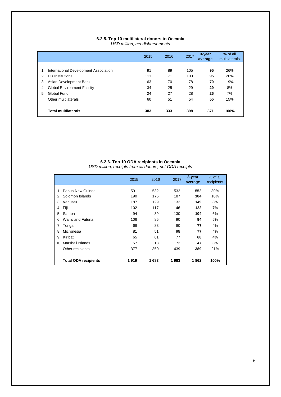#### **6.2.5. Top 10 multilateral donors to Oceania**

*USD million, net disbursements*

|   |                                       | 2015 | 2016 | 2017 | 3-year<br>average | $%$ of all<br>multilaterals |
|---|---------------------------------------|------|------|------|-------------------|-----------------------------|
|   |                                       |      |      |      |                   |                             |
|   | International Development Association | 91   | 89   | 105  | 95                | 26%                         |
| 2 | <b>FU</b> Institutions                | 111  | 71   | 103  | 95                | 26%                         |
| 3 | Asian Development Bank                | 63   | 70   | 78   | 70                | 19%                         |
| 4 | <b>Global Environment Facility</b>    | 34   | 25   | 29   | 29                | 8%                          |
| 5 | Global Fund                           | 24   | 27   | 28   | 26                | 7%                          |
|   | Other multilaterals                   | 60   | 51   | 54   | 55                | 15%                         |
|   |                                       |      |      |      |                   |                             |
|   | <b>Total multilaterals</b>            | 383  | 333  | 398  | 371               | 100%                        |

#### **6.2.6. Top 10 ODA recipients in Oceania** *USD million, receipts from all donors, net ODA receipts*

|    |                             | 2015 | 2016 | 2017 | 3-year<br>average | % of all<br>recipients |
|----|-----------------------------|------|------|------|-------------------|------------------------|
| 1  | Papua New Guinea            | 591  | 532  | 532  | 552               | 30%                    |
| 2  | Solomon Islands             | 190  | 176  | 187  | 184               | 10%                    |
| 3  | Vanuatu                     | 187  | 129  | 132  | 149               | 8%                     |
| 4  | Fiji                        | 102  | 117  | 146  | 122               | 7%                     |
| 5  | Samoa                       | 94   | 89   | 130  | 104               | 6%                     |
| 6  | Wallis and Futuna           | 106  | 85   | 90   | 94                | 5%                     |
| 7  | Tonga                       | 68   | 83   | 80   | 77                | 4%                     |
| 8  | Micronesia                  | 81   | 51   | 98   | 77                | 4%                     |
| 9  | Kiribati                    | 65   | 61   | 77   | 68                | 4%                     |
| 10 | Marshall Islands            | 57   | 13   | 72   | 47                | 3%                     |
|    | Other recipients            | 377  | 350  | 439  | 389               | 21%                    |
|    | <b>Total ODA recipients</b> | 1919 | 1683 | 1983 | 1862              | 100%                   |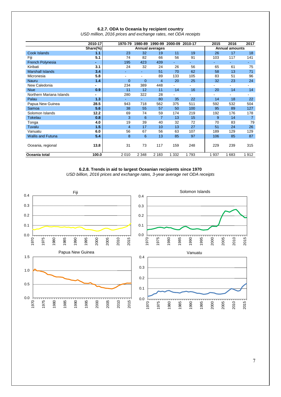|                          | 2010-17        | 1970-79        |              | 1980-89 1990-99        | 2000-09 2010-17 |      | 2015                     | 2016                  | 2017                     |
|--------------------------|----------------|----------------|--------------|------------------------|-----------------|------|--------------------------|-----------------------|--------------------------|
|                          | Share(%)       |                |              | <b>Annual averages</b> |                 |      |                          | <b>Annual amounts</b> |                          |
| Cook Islands             | 1.1            | 23             | 32           | 19                     | 11              | 19   | 26                       | 17                    | 18                       |
| Fiji                     | 5.1            | 74             | 82           | 66                     | 56              | 91   | 103                      | 117                   | 141                      |
| <b>French Polynesia</b>  | ۰.             | 195            | 423          | 439                    |                 |      |                          | ÷,                    | ÷.                       |
| Kiribati                 | 3.1            | 24             | 32           | 24                     | 26              | 56   | 65                       | 61                    | 75                       |
| <b>Marshall Islands</b>  | 3.4            |                |              | 51                     | 70              | 62   | 58                       | 13                    | 71                       |
| Micronesia               | 5.8            | ۰              |              | 89                     | 133             | 105  | 83                       | 51                    | 96                       |
| Nauru                    | 1.4            | $\mathbf{0}$   | $\mathbf{0}$ | $\overline{4}$         | 20              | 25   | 32                       | 23                    | 24                       |
| New Caledonia            | $\blacksquare$ | 234            | 389          | 448                    |                 | ٠    | $\overline{\phantom{0}}$ | -                     |                          |
| <b>Niue</b>              | 0.9            | 11             | 12           | 11                     | 14              | 16   | 20                       | 14                    | 14                       |
| Northern Mariana Islands | ٠              | 280            | 322          | 28                     |                 | ٠    |                          | ۰                     | $\overline{\phantom{0}}$ |
| Palau                    | 1.3            |                | ٠.           | 80                     | 35              | 22   | 14                       | 18                    | 22                       |
| Papua New Guinea         | 28.5           | 943            | 718          | 562                    | 375             | 511  | 592                      | 532                   | 504                      |
| Samoa                    | 5.6            | 38             | 55           | 57                     | 50              | 100  | 95                       | 89                    | 127                      |
| Solomon Islands          | 12.2           | 69             | 74           | 59                     | 174             | 219  | 192                      | 176                   | 178                      |
| Tokelau                  | 0.8            | 3              | 6            | $\overline{7}$         | 13              | 15   | 9                        | 14                    | $\overline{7}$           |
| Tonga                    | 4.0            | 19             | 39           | 40                     | 32              | 72   | 70                       | 83                    | 79                       |
| Tuvalu                   | 1.5            | $\overline{4}$ | 17           | 10                     | 13              | 27   | 51                       | 24                    | 26                       |
| Vanuatu                  | 6.0            | 56             | 67           | 56                     | 63              | 107  | 189                      | 129                   | 129                      |
| <b>Wallis and Futuna</b> | 5.4            | 8              | 6            | 13                     | 85              | 97   | 106                      | 85                    | 87                       |
| Oceania, regional        | 13.8           | 31             | 73           | 117                    | 159             | 248  | 229                      | 239                   | 315                      |
| Oceania total            | 100.0          | 2010           | 2 3 4 8      | 2 1 8 3                | 1 3 3 2         | 1793 | 1937                     | 1683                  | 1912                     |

#### **6.2.7. ODA to Oceania by recipient country** *USD million, 2016 prices and exchange rates, net ODA receipts*

**6.2.8. Trends in aid to largest Oceanian recipients since 1970**

*USD billion, 2016 prices and exchange rates, 3-year average net ODA receipts*

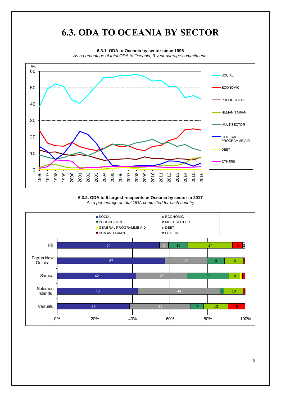

**6.3.2. ODA to 5 largest recipients in Oceania by sector in 2017** *As a percentage of total ODA committed for each country*

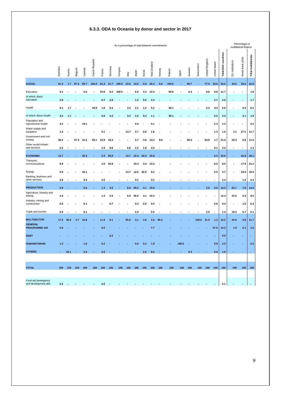#### **6.3.3. ODA to Oceania by donor and sector in 2017**

|                                             | As a percentage of total bilateral commitments |         |         |        |                |        |         |         |      |       |       |             |                          |        | Percentage of<br>multilateral finance |        |             |                |                      |                        |                 |                  |                      |
|---------------------------------------------|------------------------------------------------|---------|---------|--------|----------------|--------|---------|---------|------|-------|-------|-------------|--------------------------|--------|---------------------------------------|--------|-------------|----------------|----------------------|------------------------|-----------------|------------------|----------------------|
|                                             | Australia                                      | Austria | Belgium | Canada | Czech Republic | France | Germany | Hungary | taly | Japan | Korea | New Zealand | Norway                   | Poland | Spain                                 | Sweden | Switzerland | United Kingdom | <b>United States</b> | countries<br>Total DAC | EU institutions | World Bank (IDA) | multilatera<br>Total |
| <b>SOCIAL</b>                               | 61.3                                           | 1.7     | 97.3    | 50.7   | 100.0          | 81.3   | 31.7    | 100.0   | 23.6 | 14.5  | 8.0   | 36.4        | 9.8                      | 100.0  | ÷.                                    | 90.7   | ÷.          | 77.0           | 19.6                 | 44.5                   | 24.5            | 39.2             | 32.8                 |
| Education                                   | 9.1                                            |         |         | 0.2    | ä,             | 54.8   | 9.4     | 100.0   |      | 6.9   | 0.2   | 12.3        | $\overline{\phantom{a}}$ | 69.9   | ä,                                    | 0.4    |             | 9.8            | 9.9                  | 11.7                   |                 | ÷,               | 1.9                  |
| of which: Basic<br>education                | 2.8                                            |         |         |        |                | 6.7    | 2.8     |         |      | 1.3   | 0.2   | 2.0         |                          |        |                                       |        |             |                | 2.7                  | 2.5                    |                 |                  | $1.7$                |
| Health                                      | 8.1                                            | 1.7     |         |        | 44.9           | 1.6    | 5.4     |         | 3.2  | 2.1   | 1.3   | 5.2         |                          | 30.1   |                                       |        |             | 2.3            | 4.4                  | 5.6                    |                 | 5.3              | 6.2                  |
| of which: Basic health                      | 4.2                                            | 1.7     |         |        |                | 0.6    | 4.3     |         | 3.2  | 0.5   | 0.4   | 1.1         |                          | 30.1   |                                       |        |             |                | 0.5                  | 2.3                    |                 | 3.1              | 1.9                  |
| Population and<br>reproductive health       | 4.2                                            |         |         | 19.1   |                |        |         |         |      | 0.0   |       | 0.1         |                          |        |                                       |        |             |                | 2.3                  | 2.3                    |                 |                  | 0.2                  |
| Water supply and<br>sanitation              | 1.4                                            |         |         |        |                | 0.1    |         |         | 13.7 | 2.7   | 0.9   | 1.6         |                          |        |                                       |        |             |                | 1.3                  | 1.5                    | 2.1             | 27.1             | 11.7                 |
| Government and civil<br>society             | 36.4                                           |         | 97.3    | 31.5   | 55.1           | 22.6   | 16.3    |         |      | 0.7   | 3.9   | 13.4        | 9.8                      |        |                                       | 90.3   |             | 64.9           | 1.7                  | 21.2                   | 22.3            | 6.8              | 11.5                 |
| Other social infrastr.<br>and services      | 2.2                                            |         |         |        |                | 2.3    | 0.6     |         | 6.6  | 2.2   | 1.6   | 3.9         |                          |        |                                       |        |             |                | 0.1                  | 2.2                    |                 | ٠                | 1.3                  |
| <b>ECONOMIC</b>                             | 13.7                                           |         |         | 25.4   |                | 2.5    | 55.8    |         | 13.7 | 22.4  | 82.5  | 25.8        |                          |        |                                       |        |             |                | 0.5                  | 16.6                   |                 | 42.9             | 38.1                 |
| Transport,<br>communications                | 8.9                                            |         |         |        |                | 2.5    | 55.8    |         |      | 10.3  | 0.0   | 13.3        |                          |        |                                       |        |             |                | 0.0                  | 8.5                    |                 | 17.9             | 21.2                 |
| Energy                                      | 0.9                                            |         |         | 16.1   |                |        |         |         | 13.7 | 12.0  | 82.5  | 9.2         |                          |        |                                       |        |             |                | 0.5                  | 5.7                    |                 | 24.0             | 16.5                 |
| Banking, business and<br>other services     | 3.9                                            |         |         | 9.3    |                | 0.0    |         |         |      | 0.1   |       | 3.2         |                          |        |                                       |        |             |                |                      | 2.4                    |                 | 1.0              | 0.4                  |
| <b>PRODUCTION</b>                           | 5.9                                            |         |         | 0.2    |                | 1.3    | 3.2     |         | 6.9  | 59.2  | 4.1   | 15.9        |                          |        |                                       |        |             | 2.0            | 0.6                  | 14.2                   | 52.7            | 7.0              | 14.0                 |
| Agriculture, forestry and<br>fishing        | 4.4                                            |         |         |        |                | 1.3    | 2.5     |         | 6.9  | 58.5  | 4.1   | 10.4        |                          |        |                                       |        |             |                |                      | 12.4                   | 33.6            | 0.3              | 8.5                  |
| Industry, mining and<br>construction        | 0.6                                            |         |         | 0.1    |                |        | 0.7     |         |      | 0.3   | 0.0   | 0.0         |                          |        |                                       |        |             |                | 0.6                  | 0.4                    |                 | 1.0              | 0.4                  |
| Trade and tourism                           | 0.9                                            |         |         | 0.1    |                |        |         |         |      | 0.4   |       | 5.5         |                          |        |                                       |        |             | 2.0            | $\blacksquare$       | 1.4                    | 19.2            | 5.7              | 5.1                  |
| <b>MULTISECTOR</b>                          | 17.3                                           | 46.2    | 2.7     | 16.8   |                | 11.9   | 9.1     |         | 55.8 | 3.1   | 2.6   | 3.6         | 90.2                     |        |                                       |        | 100.0       | 21.0           | 1.3                  | 10.2                   | 20.9            | 4.8              | 11.7                 |
| <b>GENERAL</b><br><b>PROGRAMME AID</b>      | 0.6                                            |         |         |        |                | 0.0    |         |         |      |       |       | 7.7         |                          |        |                                       |        |             |                | 67.6                 | 10.3                   | 1.9             | 6.1              | $3.2$                |
| <b>DEBT</b>                                 |                                                |         |         |        |                |        | 0.2     |         |      |       |       |             |                          |        |                                       |        |             |                |                      | 0.0                    |                 |                  |                      |
| <b>HUMANITARIAN</b>                         | 1.3                                            |         |         | 1.6    |                | 0.2    |         |         |      | 0.9   | 0.3   | 1.9         |                          |        | 100.0                                 |        |             |                | 9.9                  | 2.3                    |                 |                  | 0.2                  |
| <b>OTHERS</b>                               |                                                | 52.1    |         | 5.3    |                | 2.8    |         |         |      |       | 2.6   | 8.6         |                          |        |                                       | 9.3    |             |                | 0.6                  | 1.9                    |                 |                  |                      |
|                                             |                                                |         |         |        |                |        |         |         |      |       |       |             |                          |        |                                       |        |             |                |                      |                        |                 |                  |                      |
| <b>TOTAL</b>                                | 100                                            | 100     | 100     | 100    | 100            | 100    | 100     | 100     | 100  | 100   | 100   | 100         | 100                      | 100    | 100                                   | 100    | 100         | 100            | 100                  | 100                    | 100             | 100              | 100                  |
|                                             |                                                |         |         |        |                |        |         |         |      |       |       |             |                          |        |                                       |        |             |                |                      |                        |                 |                  |                      |
| Food aid (emergency<br>and development aid) | 0.3                                            |         |         |        |                | 0.0    |         |         |      |       |       |             |                          |        |                                       |        |             |                |                      | 0.1                    |                 |                  |                      |